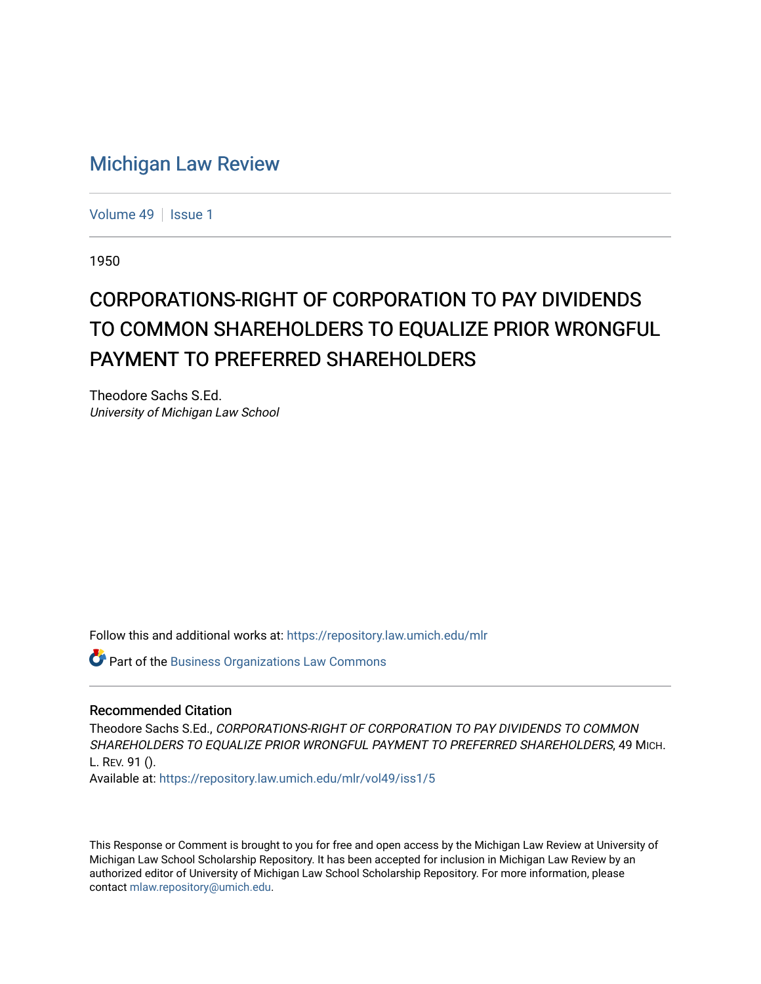## [Michigan Law Review](https://repository.law.umich.edu/mlr)

[Volume 49](https://repository.law.umich.edu/mlr/vol49) | [Issue 1](https://repository.law.umich.edu/mlr/vol49/iss1)

1950

# CORPORATIONS-RIGHT OF CORPORATION TO PAY DIVIDENDS TO COMMON SHAREHOLDERS TO EQUALIZE PRIOR WRONGFUL PAYMENT TO PREFERRED SHAREHOLDERS

Theodore Sachs S.Ed. University of Michigan Law School

Follow this and additional works at: [https://repository.law.umich.edu/mlr](https://repository.law.umich.edu/mlr?utm_source=repository.law.umich.edu%2Fmlr%2Fvol49%2Fiss1%2F5&utm_medium=PDF&utm_campaign=PDFCoverPages) 

**Part of the [Business Organizations Law Commons](http://network.bepress.com/hgg/discipline/900?utm_source=repository.law.umich.edu%2Fmlr%2Fvol49%2Fiss1%2F5&utm_medium=PDF&utm_campaign=PDFCoverPages)** 

#### Recommended Citation

Theodore Sachs S.Ed., CORPORATIONS-RIGHT OF CORPORATION TO PAY DIVIDENDS TO COMMON SHAREHOLDERS TO EQUALIZE PRIOR WRONGFUL PAYMENT TO PREFERRED SHAREHOLDERS, 49 MICH. L. REV. 91 ().

Available at: [https://repository.law.umich.edu/mlr/vol49/iss1/5](https://repository.law.umich.edu/mlr/vol49/iss1/5?utm_source=repository.law.umich.edu%2Fmlr%2Fvol49%2Fiss1%2F5&utm_medium=PDF&utm_campaign=PDFCoverPages)

This Response or Comment is brought to you for free and open access by the Michigan Law Review at University of Michigan Law School Scholarship Repository. It has been accepted for inclusion in Michigan Law Review by an authorized editor of University of Michigan Law School Scholarship Repository. For more information, please contact [mlaw.repository@umich.edu](mailto:mlaw.repository@umich.edu).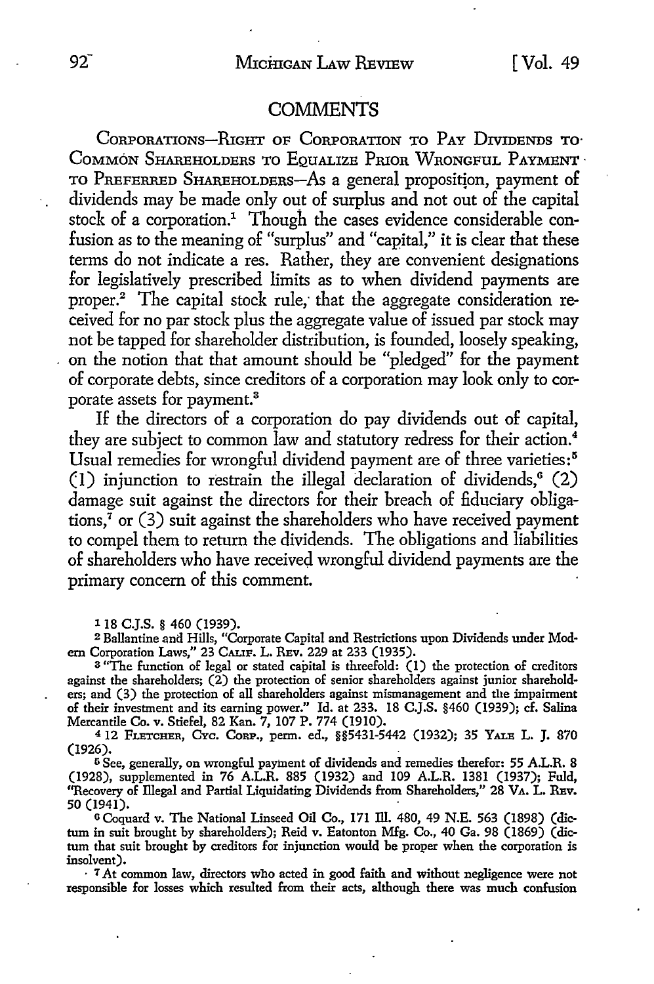#### **COMMENTS**

CORPORATIONS-RIGHT OF CORPORATION TO PAY DIVIDENDS TO COMMON SHAREHOLDERS TO EQUALIZE PRIOR WRONGFUL PAYMENT. TO PREFERRED SHAREHOLDERS-As a general propositjon, payment of dividends may be made only out of surplus and not out of the capital stock of a corporation.<sup>1</sup> Though the cases evidence considerable confusion as to the meaning of "surplus" and "capital," it is clear that these terms do not indicate a res. Rather, they are convenient designations for legislatively prescribed limits as to when dividend payments are proper.2 The capital stock rule; that the aggregate consideration received for no par stock plus the aggregate value of issued par stock may not be tapped for shareholder distribution, is founded, loosely speaking, on the notion that that amount should be "pledged" for the payment of corporate debts, since creditors of a corporation may look only to corporate assets for payment.<sup>3</sup>

If the directors of a corporation do pay dividends out of capital, they are subject to common law and statutory redress for their action.<sup>4</sup> Usual remedies for wrongful dividend payment are of three varieties:<sup>5</sup> (1) injunction to restrain the illegal declaration of dividends,° (2) damage suit against the directors for their breach of fiduciary obligations, $\frac{7}{1}$  or (3) suit against the shareholders who have received payment to compel them to return the dividends. The obligations and liabilities of shareholders who have received wrongful dividend payments are the primary concern of this comment.

118 **C.J.S.** § 460 (1939).

<sup>2</sup> Ballantine and Hills, "Corporate Capital and Restrictions upon Dividends under Modern Corporation Laws," 23 CALIF. L. REv. 229 at 233 (1935).

<sup>3</sup>"The function of legal or stated capital is threefold: (1) the protection of creditors against the shareholders; (2) the protection of senior shareholders against junior shareholders; and (3) the protection of all shareholders against mismanagement and the impairment of their investment and its earning power." Id. at 233. 18 C.J.S. §460 (1939); cf. Salina Mercantile Co. v. Stiefel, 82 Kan. 7, 107 P. 774 (1910).

4 12 FLETCHER, CYc. CoRP., perm. ed., §§5431-5442 (1932); 35 YALE L. J. 870 (1926).

<sup>5</sup> See, generally, on wrongful payment of dividends and remedies therefor: 55 A.L.R. 8 (1928), supplemented in 76 A.L.R. 885 (1932) and 109 A.L.R. 1381 (1937); Fuld, ''Recovery of illegal and Partial Liquidating Dividends from Shareholders," 28 VA. L. REv. 50 (1941).

o Coquard v. The National Linseed Oil Co., 171 ill. 480, 49 N.E. 563 (1898) (dictum in suit brought by shareholders); Reid v. Eatonton Mfg. Co., 40 Ga. 98 (1869) (dictum that suit brought by creditors for injunction would be proper when the corporation is insolvent).

• 7 *At* common law, directors wbo acted in good faith and without negligence were not responsible for losses which resulted from their acts, although there was much confusion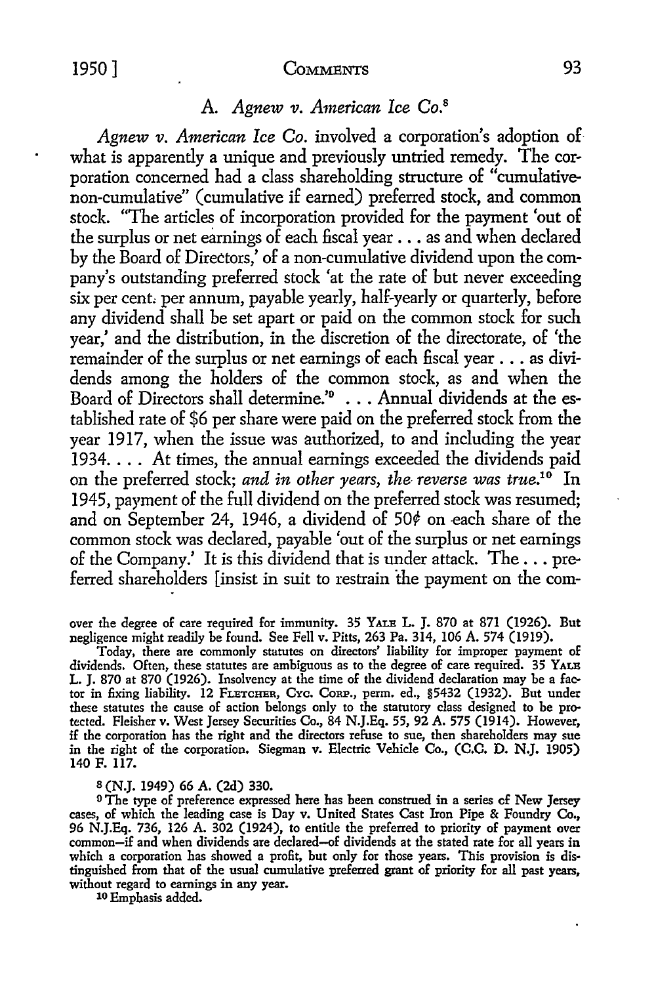#### 1950] COMMENTS 93

#### A. *Agnew v. American Ice* Co.<sup>8</sup>

*Agnew v. American Ice Co.* involved a corporation's adoption of what is apparently a unique and previously untried remedy. The corporation concerned had a class shareholding structure of "cumulativenon-cumulative" (cumulative if earned) preferred stock, and common stock. "The articles of incorporation provided for the payment 'out of the surplus or net earnings of each fiscal year ... as and when declared by the Board of Directors,' of a non-cumulative dividend upon the company's outstanding preferred stock 'at the rate of but never exceeding six per cent, per annum, payable yearly, half-yearly or quarterly, before any dividend shall be set apart or paid on the common stock for such year,' and the distribution, in the discretion of the directorate, of 'the remainder of the surplus or net earnings of each fiscal year ... as dividends among the holders of the common stock, as and when the Board of Directors shall determine.'<sup>9</sup> . . . Annual dividends at the established rate of \$6 per share were paid on the preferred stock from the year 1917, when the issue was authorized, to and including the year 1934 .... At times, the annual earnings exceeded the dividends paid on the preferred stock; *and in other years, the- reverse was true.10* In 1945, payment of the full dividend on the preferred stock was resumed; and on September 24, 1946, a dividend of  $50¢$  on each share of the common stock was declared, payable 'out of the surplus or net earnings of the Company.' It is this dividend that is under attack. The ... preferred shareholders [insist in suit to restrain the payment on the com-

over the degree of care required for immunity. 35 YALE L. J. 870 at 871 (1926). But negligence might readily be found. See Fell v. Pitts, 263 Pa. 314, 106 A. 574 (1919).

Today, there are commonly statutes on directors' liability for improper payment of dividends. Often, these statutes are ambiguous as to the degree of care required. 35 YALB L. J. 870 at 870 (1926). Insolvency at the time of the dividend declaration may be a factor in fixing liability. 12 FLETCHER, Cvc. CoRP., perm. ed., §5432 (1932). But under these statutes the cause of action belongs only to the statutory class designed to be protected. Fleisher v. West Jersey Securities Co., 84 N.J.Eq. 55, 92 A. 575 (1914). However, if the corporation has the right and the directors refuse to sue, then shareholders may sue in the right of the corporation. Siegman v. Electric Vehicle Co., (C.C. D. N.J. 1905) 140 F. 117.

#### s (N.J. 1949) 66 A. (2d) 330.

<sup>0</sup> The type of preference expressed here has been construed in a series of New Jersey cases, of which the leading case is Day v. United States Cast Iron Pipe & Foundry Co., 96 N.J.Eq. 736, 126 A. 302 (1924), to entitle the preferred to priority of payment over common-if and when dividends are declared-of dividends at the stated rate for all years in which a corporation has showed a profit, but only for those years. This provision is dis• tinguished from that of the usual cumulative preferred grant of priority for all past years, without regard to earnings in any year.

10 Emphasis added.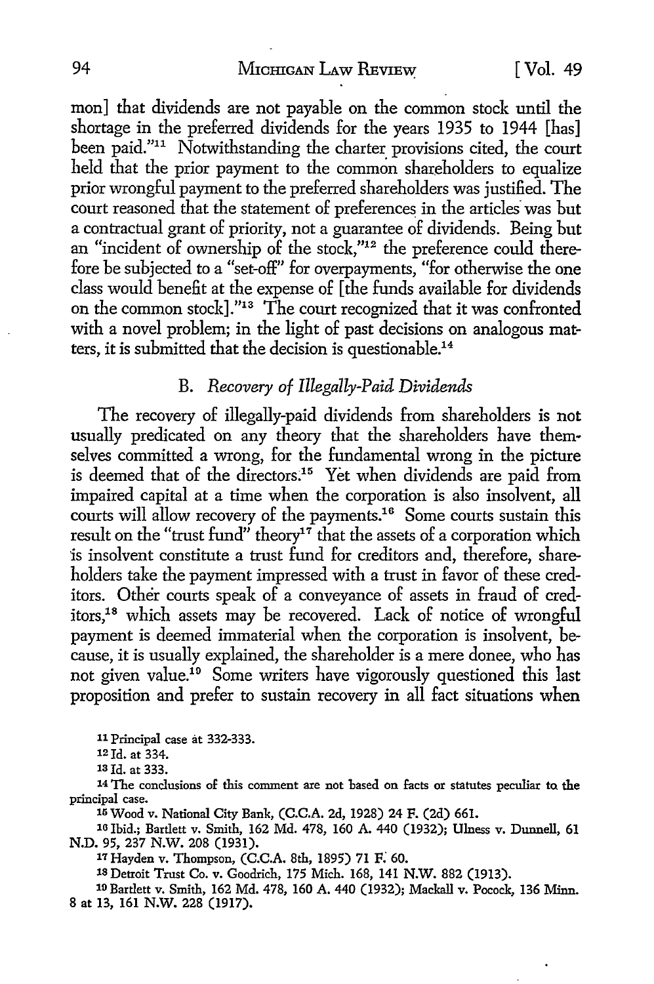#### 94 Michigan Law Review [ Vol. 49

mon] that dividends are not payable on the common stock until the shortage in the preferred dividends for the years 1935 to 1944 [has] been paid."<sup>11</sup> Notwithstanding the charter provisions cited, the court held that the prior payment to the common shareholders to equalize prior wrongful payment to the preferred shareholders was justified. The court reasoned that the statement of preferences in the articles was but a contractual grant of priority, not a guarantee of dividends. Being but an "incident of ownership of the stock,"12 the preference could therefore be subjected to a "set-off" for overpayments, "for otherwise the one class would benefit at the expense of [the funds available for dividends on the common stock]."13 The court recognized that it was confronted with a novel problem; in the light of past decisions on analogous matters, it is submitted that the decision is questionable.14

#### B. *Recovery of Illegally-Paid Dividends*

The recovery of illegally-paid dividends from shareholders is not usually predicated on any theory that the shareholders have themselves committed a wrong, for the fundamental wrong in the picture is deemed that of the directors:15 Yet when dividends are paid from impaired capital at a time when the corporation is also insolvent, all courts will allow recovery of the payments.<sup>16</sup> Some courts sustain this result on the "trust fund" theory<sup>17</sup> that the assets of a corporation which 'is insolvent constitute a trust fund for creditors and, therefore, shareholders take the payment impressed with a trust in favor of these creditors. Other courts speak of a conveyance of assets in fraud of creditors,18 which assets may be recovered. Lack of notice of wrongful payment is deemed immaterial when the corporation is insolvent, because, it is usually explained, the shareholder is a mere donee, who has not given value.<sup>19</sup> Some writers have vigorously questioned this last proposition and prefer to sustain recovery in all fact situations when

11 Principal case at 332-333.

12 Id. at 334.

13 Id. at 333.

14 The conclusions of this comment are not based on facts or statutes peculiar ta the principal case.

15 Wood v. National City Bank, (C.C.A. 2d, 1928) 24 F. (2d) 661.

10 Ibid.; Bartlett v. Smith, 162 Md. 478, 160 A. 440 (1932); Illness v. Dunnell, 61 N.D. 95, 237 N.W. 208 (1931).

17 Hayden v. Thompson, (C.C.A. 8th, 1895) 71 F. 60.

18 Detroit Trust Co. v. Goodrich, 175 Mich. 168, 141 N.W. 882 (1913).

10 Bartlett v. Smith, 162 Md. 478, 160 A. 440 (1932); Mackall v. Pocock, 136 Minn. 8 at 13, 161 N.W. 228 (1917).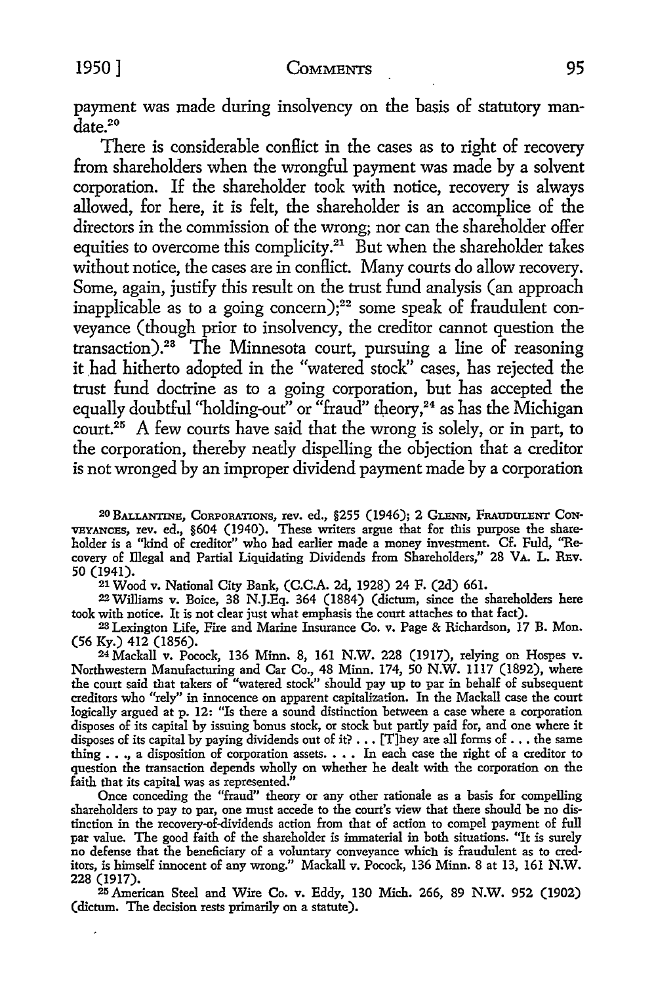payment was made during insolvency on the basis of statutory mandate.<sup>20</sup>

There is considerable conflict in the cases as to right of recovery from shareholders when the wrongful payment was made by a solvent corporation. If the shareholder took with notice, recovery is always allowed, for here, it is felt, the shareholder is an accomplice of the directors in the commission of the wrong; nor can the shareholder offer equities to overcome this complicity.<sup>21</sup> But when the shareholder takes without notice, the cases are in conflict. Many courts do allow recovery. Some, again, justify this result on the trust fund analysis (an approach inapplicable as to a going concern);<sup>22</sup> some speak of fraudulent conveyance (though prior to insolvency, the creditor cannot question the transaction).23 The Minnesota court, pursuing a line of reasoning it had hitherto adopted in the "watered stock" cases, has rejected the trust fund doctrine as to a going corporation, but has accepted the equally doubtful "holding-out" or "fraud" theory,<sup>24</sup> as has the Michigan court.<sup>25</sup> A few courts have said that the wrong is solely, or in part, to the corporation, thereby neatly dispelling the objection that a creditor is not wronged by an improper dividend payment made by a corporation

20 BALLANTINE, CORPORATIONS, rev. ed., §255 (1946); 2 GLENN, FRAUDULENT CoN• VEYANCEs, rev. ed., §604 (1940). These writers argue that for this purpose the shareholder is a ''kind of creditor" who had earlier made a money investment. Cf. Fuld, "Recovery of illegal and Partial Liquidating Dividends from Shareholders," 28 VA. L. REv. 50 (1941).

21 Wood v. National City Bank, (C.C.A. 2d, 1928) 24 F. (2d) 661.

22 Williams v. Boice, 38 N.J.Eq. 364 (1884) (dictum, since the shareholders here took with notice. It is not clear just what emphasis the court attaches to that fact).

23 Lexington Life, Fire and Marine Insurance Co. v. Page & Richardson, 17 B. Mon. (56 Ky.) 412 (1856).

24 Mackall v. Pocock, 136 Minn. 8, 161 N.W. 228 (1917), relying on Hospes v. Northwestern Manufacturing and Car Co., 48 Minn. 174, 50 N.W. 1117 (1892), where the court said that takers of "watered stock" should pay up to par in behalf of subsequent creditors who "rely" in innocence on apparent capitalization. In the Mackall case the court logically argued at p. 12: "ls there a sound distinction between a case where a corporation disposes of its capital by issuing bonus stock, or stock but partly paid for, and one where it disposes of its capital by paying dividends out of it?  $\dots$  [T]hey are all forms of  $\dots$  the same thing  $\ldots$ , a disposition of corporation assets.  $\ldots$  In each case the right of a creditor to question the transaction depends wholly on whether he dealt with the corporation on the faith that its capital was as represented."

Once conceding the "fraud" theory or any other rationale as a basis for compelling shareholders to pay to par, one must accede to the court's view that there should be no distinction in the recovery-of-dividends action from that of action to compel payment of full par value. The good faith of the shareholder is immaterial in both situations. "It is surely no defense that the beneficiary of a voluntary conveyance which is fraudulent as to cred· itors, is himself innocent of any wrong." Mackall v. Pocock, 136 Minn. 8 at 13, 161 **N.W.**  228 (1917).

25 American Steel and Wire Co. v. Eddy, 130 Mich. 266, 89 N.W. 952 (1902) (dictum. The decision rests primarily on a statute).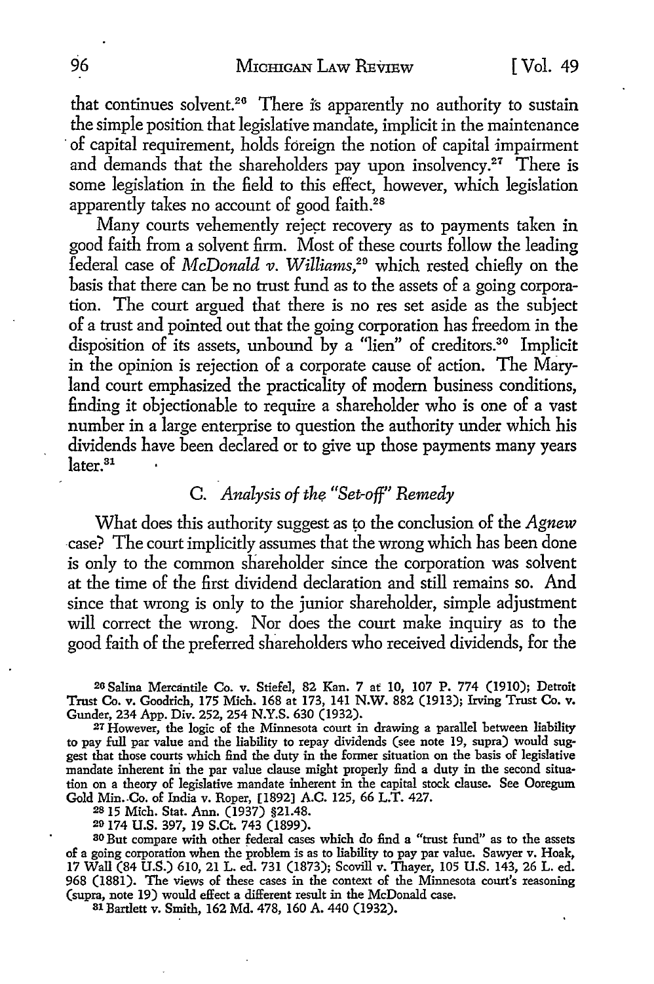that continues solvent.<sup>26</sup> There is apparently no authority to sustain the simple position that legislative mandate, implicit in the maintenance of capital requirement, holds foreign the notion of capital impairment and demands that the shareholders pay upon insolvency.<sup>27</sup> There is some legislation in the field to this effect, however, which legislation apparently takes no account of good faith.<sup>28</sup>

Many courts vehemently reject recovery as to payments taken in good faith from a solvent firm. Most of these courts follow the leading federal case of *l\1cDonald v. Will·iams,20* which rested chiefly on the basis that there can be no trust fund as to the assets of a going corporation. The court argued that there is no res set aside as the subject of a trust and pointed out that the going corporation has freedom in the disposition of its assets, unbound by a "lien" of creditors.<sup>30</sup> Implicit in the opinion is rejection of a corporate cause of action. The Maryland court emphasized the practicality of modem business conditions, finding it objectionable to require a shareholder who is one of a vast number in a large enterprise to question the authority under which his dividends have been declared or to give up those payments many years later.<sup>31</sup>

### C. *Analysis of the "Set-off" Remedy*

What does this authority suggest as to the conclusion of the *Agnew*  case? The court implicitly assumes that the wrong which has been done is only to the common shareholder since the corporation was solvent at the time of the first dividend declaration and still remains so. And since that wrong is only to the junior shareholder, simple adjustment will correct the wrong. Nor does the court make inquiry as to the good faith of the preferred shareholders who received dividends, for the

20 Salina Mercantile Co. v. Stiefel, 82 Kan. 7 at 10, 107 P. 774 (1910); Detroit Trust Co. v. Goodrich, 175 Mich. 168 at 173, 141 N.W. 882 (1913); Irving Trust Co. v. Gunder, 234 App. Div. 252, 254 N.Y.S. 630 (1932).

27 However, the logic of the Minnesota court in drawing a parallel between liability to pay full par value and the liability to repay dividends (see note 19, supra) would suggest that those courts which find the duty in the former situation on the basis of legislative mandate inherent in the par value clause might properly find a duty in the second situation on a theory of legislative mandate inherent in the capital stock clause. See Ooregum Gold Min. Co. of India v. Roper, [1892] A.C. 125, 66 L.T. 427.

2s 15 Mich. Stat. Ann. (1937) §21.48.

20 174 U.S. 397, 19 S.Ct. 743 (1899).

80 But compare with other federal cases which do find a "trust fund" as to the assets of a going corporation when the problem is as to liability to pay par value. Sawyer v. Hoak, 17 Wall (84 U.S.) 610, 21 L. ed. 731 (1873); Scovill v. Thayer, 105 U.S. 143, 26 L. ed. 968 (1881). The views of these cases in the context of the Minnesota court's reasoning (supra, note 19) would effect a different result in the McDonald case.

Bl Bartlett v. Smith, 162 Md. 478, 160 A. 440 (1932).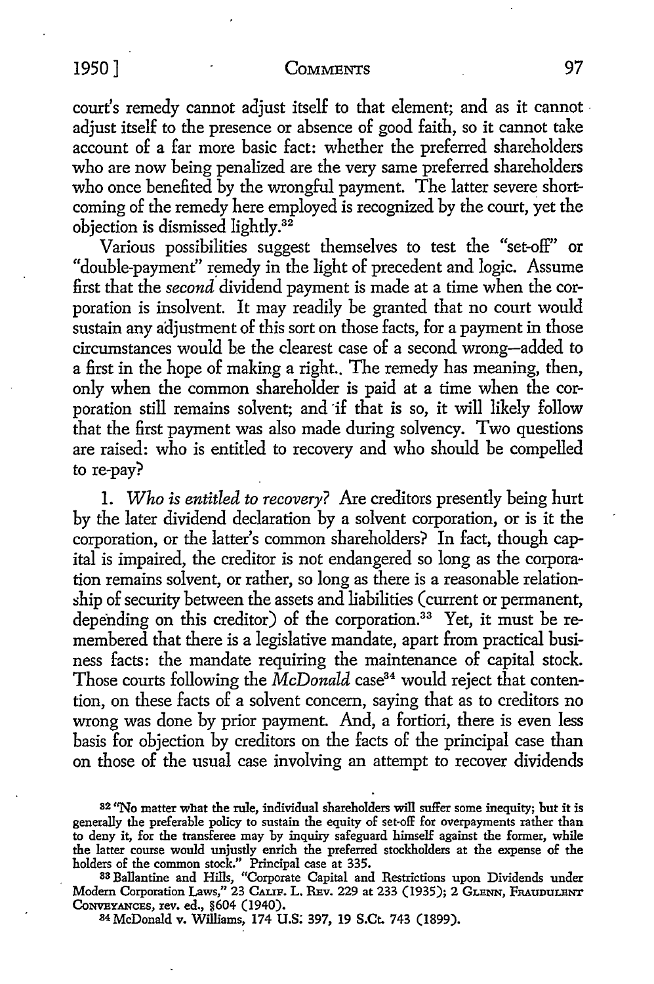#### 1950] COMMENTS 97

court's remedy cannot adjust itself to that element; and as it cannot adjust itself to the presence or absence of good faith, so it cannot take account of a far more basic fact: whether the preferred shareholders who are now being penalized are the very same preferred shareholders who once benefited by the wrongful payment. The latter severe shortcoming of the remedy here employed is recognized by the court, yet the objection is dismissed lightly.32

Various possibilities suggest themselves to test the "set-off" or "double-payment" remedy in the light of precedent and logic. Assume first that the *second* dividend payment is made at a time when the corporation is insolvent. *It* may readily be granted that no court would sustain any adjustment of this sort on those facts, for a payment in those circumstances would be the clearest case of a second wrong-added to a first in the hope of making a right.. The remedy has meaning, then, only when the common shareholder is paid at a time when the corporation still remains solvent; and if that is so, it will likely follow that the first payment was also made during solvency. Two questions are raised: who is entitled to recovery and who should be compelled to re-pay?

I. *Who is entitled to recovery?* Are creditors presently being hurt by the later dividend declaration by a solvent corporation, or is it the corporation, or the latter's common shareholders? In fact, though capital is impaired, the creditor is not endangered so long as the corporation remains solvent, or rather, so long as there is a reasonable relationship of security between the assets and liabilities ( current or permanent, depending on this creditor) of the corporation.<sup>33</sup> Yet, it must be remembered that there is a legislative mandate, apart from practical business facts: the mandate requiring the maintenance of capital stock. Those courts following the *McDonald* case<sup>34</sup> would reject that contention, on these facts of a solvent concern, saying that as to creditors no wrong was done by prior payment. And, a fortiori, there is even less basis for objection by creditors on the facts of the principal case than on those of the usual case involving an attempt to recover dividends

83 Ballantine and Hills, "Corporate Capital and Restrictions upon Dividends under Modern Corporation Laws," 23 CALIF. L. REv. 229 at 233 (1935); 2 GLENN, FRAUDULENT CoNVEYANCES, rev. ed., §604 (1940).

S4McDonald v. Williams, 174 U.S; 397, 19 S.Ct. 743 (1899).

<sup>82 &</sup>quot;No matter what the rule, individual shareholders will suffer some inequity; but it is generally the preferable policy to sustain the equity of set-off for overpayments rather than to deny it, for the transferee may by inquiry safeguard himself against the former, while the latter course would unjustly enrich the preferred stockholders at the expense of the holders of the common stock." Principal case at 335.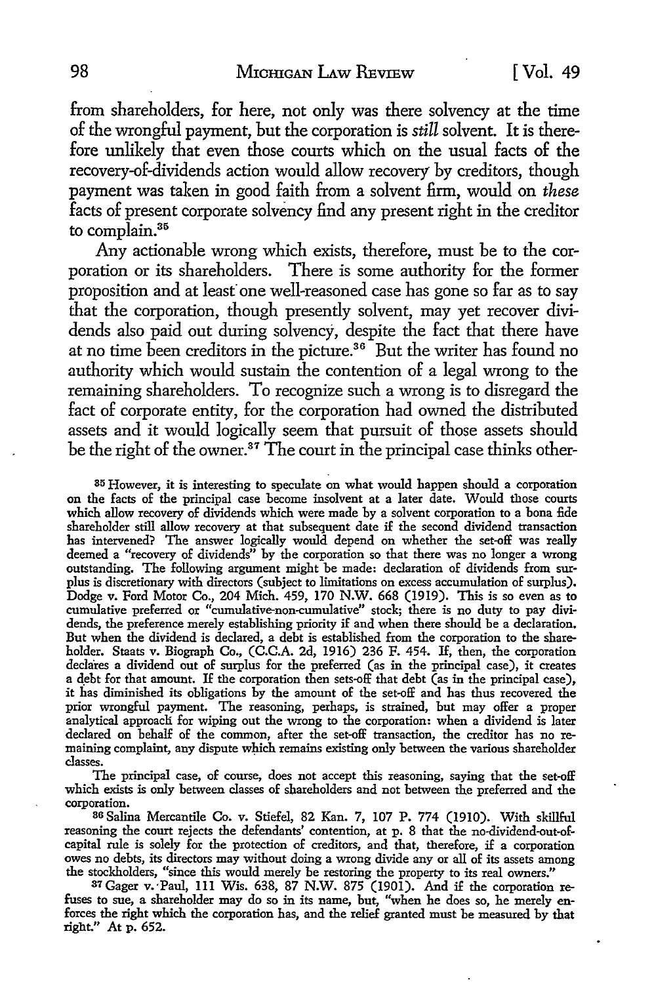from shareholders, for here, not only was there solvency at the time of the wrongful payment, but the corporation is *still* solvent. It is therefore unlikely that even those courts which on the usual facts of the recovery-of-dividends action would allow recovery by creditors, though payment was taken in good faith from a solvent firm, would on *these*  facts of present corporate solvency find any present right in the creditor to complain.<sup>35</sup>

Any actionable wrong which exists, therefore, must be to the corporation or its shareholders. There is some authority for the former proposition and at least one well-reasoned case has gone so far as to say that the corporation, though presently solvent, may yet recover dividends also paid out during solvency, despite the fact that there have at no time been creditors in the picture.<sup>36</sup> But the writer has found no authority which would sustain the contention of a legal wrong to the remaining shareholders. To recognize such a wrong is to disregard the fact of corporate entity, for the corporation had owned the distributed assets and it would logically seem that pursuit of those assets should be the right of the owner.<sup>37</sup> The court in the principal case thinks other-

35 However, it is interesting to speculate on what would happen should a corporation on the facts of the principal case become insolvent at a later date. Would those courts which allow recovery of dividends which were made by a solvent corporation to a bona fide shareholder still allow recovery at that subsequent date if the second dividend transaction has intervened? The answer logically would depend on whether the set-off was really deemed a "recovery of dividends" by the corporation so that there was no longer a wrong outstanding. The following argument might be made: declaration of dividends from surplus is discretionary with directors (subject to limitations on excess accumulation of surplus). Dodge v. Ford Motor Co., 204 Mich. 459, 170 N.W. 668 (1919). This is so even as to cumulative preferred or "cumulative-non-cumulative" stock; there is no duty to pay dividends, the preference merely establishing priority if and when there should be a declaration. But when the dividend is declared, a debt is established from the corporation to the shareholder. Staats v. Biograph Co., (C.C.A. 2d, 1916) 236 F. 454. If, then, the corporation declares a dividend out of surplus for the preferred (as in the principal case), it creates a qebt for that amount. If the corporation then sets-off that debt (as in the principal case), it has diminished its obligations by the amount of the set-off and has thus recovered the prior wrongful payment. The reasoning, perhaps, is strained, but may offer a proper analytical approacli for wiping out the wrong to the corporation: when a dividend is later declared on behalf of the common, after the set-off transaction, the creditor has no remaining complaint, any dispute which remains existing only between the various shareholder classes.

The principal case, of course, does not accept this reasoning, saying that the set-off which exists is only between classes of shareholders and not between the preferred and the corporation.

86 Salina Mercantile Co. v. Stiefel, 82 Kan. 7, 107 P. 774 (1910). With skillful reasoning the court rejects the defendants' contention, at p. 8 that the no-dividend-out-ofcapital rule is solely for the protection of creditors, and that, therefore, if a corporation owes no debts, its directors may without doing a wrong divide any or all of its assets among the stockholders, "since this would merely be restoring the property to its real owners."

87Gager v.·Paul, lll Wis. 638, 87 N.W. 875 (1901). And if the corporation refuses to sue, a shareholder may do so in its name, but, "when he does so, he merely enforces the right which the corporation has, and the relief granted must be measured by that right." At p. 652.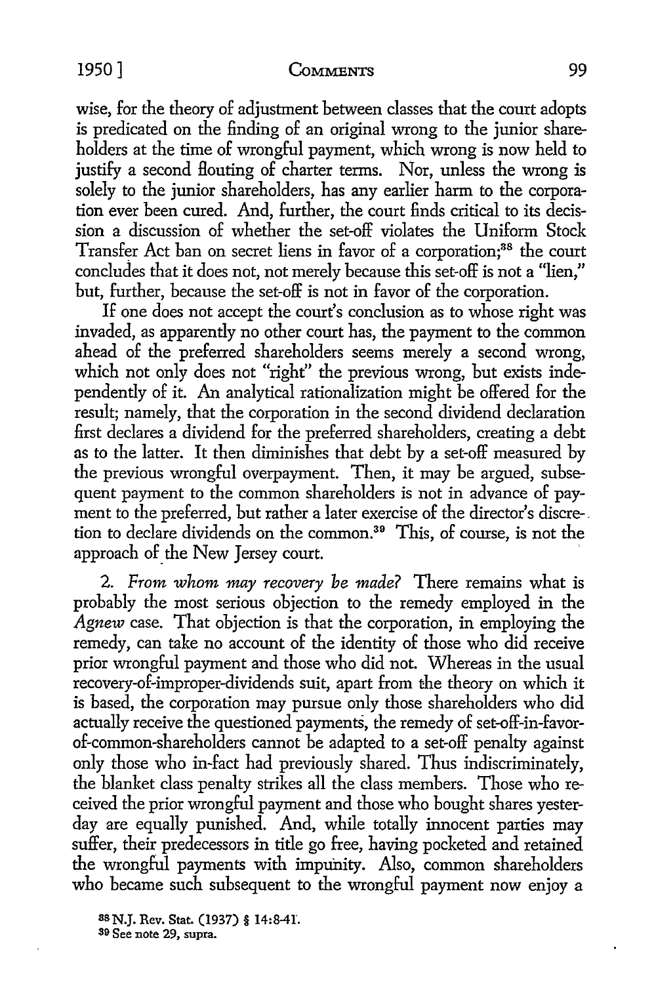#### 1950] **CoMMENTS** 99

wise, for the theory of adjustment between classes that the court adopts is predicated on the finding of an original wrong to the junior shareholders at the time of wrongful payment, which wrong is now held to justify a second Houting of charter terms. Nor, unless the wrong is solely to the junior shareholders, has any earlier harm to the corporation ever been cured. And, further, the court finds critical to its decission a discussion of whether the set-off violates the Uniform Stock Transfer Act ban on secret liens in favor of a corporation;<sup>38</sup> the court concludes that it does not, not merely because this set-off is not a "lien," but, further, because the set-off is not in favor of the corporation.

If one does not accept the court's conclusion as to whose right was invaded, as apparently no other court has, the payment to the common ahead of the preferred shareholders seems merely a second wrong, which not only does not "right" the previous wrong, but exists independently of it. An analytical rationalization might be offered for the result; namely, that the corporation in the second dividend declaration first declares a dividend for the preferred shareholders, creating a debt as to the latter. It then diminishes that debt by a set-off measured by the previous wrongful overpayment. Then, it may be argued, subsequent payment to the common shareholders is not in advance of payment to the preferred, but rather a later exercise of the director's discre-. tion to declare dividends on the common.<sup>39</sup> This, of course, is not the approach of the New Jersey court.

2. *From whom may recovery be made?* There remains what is probably the most serious objection to the remedy employed in the *Agnew* case. That objection is that the corporation, in employing the remedy, can take no account of the identity of those who did receive prior wrongful payment and those who did not. Whereas in the usual recovery-of-improper-dividends suit, apart from the theory on which it is based, the corporation may pursue only those shareholders who did actually receive the questioned payments, the remedy of set-off-in-favorof-common-shareholders cannot be adapted to a set-off penalty against only those who in-fact had previously shared. Thus indiscriminately, the blanket class penalty strikes all the class members. Those who received the prior wrongful payment and those who bought shares yesterday are equally punished. And, while totally innocent parties may suffer, their predecessors in title go free, having pocketed and retained the wrongful payments with impunity. Also, common shareholders who became such subsequent to the wrongful payment now enjoy a

88 N.J. Rev. Stat. (1937) § 14:8-41. 89 See note 29, supra.